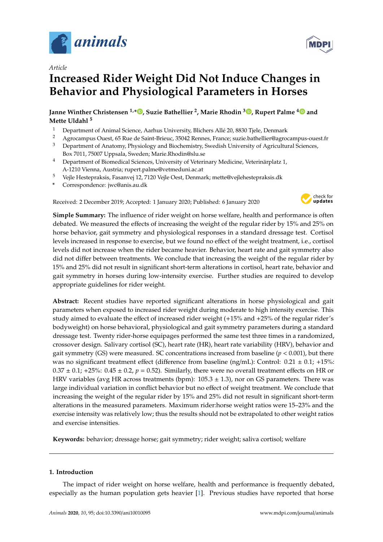

# *Article*

# **Increased Rider Weight Did Not Induce Changes in Behavior and Physiological Parameters in Horses**

**Janne Winther Christensen 1,\* [,](https://orcid.org/0000-0003-0227-0648) Suzie Bathellier <sup>2</sup> , Marie Rhodin <sup>3</sup> [,](https://orcid.org/0000-0003-0575-2765) Rupert Palme [4](https://orcid.org/0000-0001-9466-3662) and Mette Uldahl <sup>5</sup>**

- <sup>1</sup> Department of Animal Science, Aarhus University, Blichers Allé 20, 8830 Tjele, Denmark<br><sup>2</sup> Agreempus Quest, 65 Pue de Saint Brique, 25042 Pennes, France surie bathelliar@egre
- <sup>2</sup> Agrocampus Ouest, 65 Rue de Saint-Brieuc, 35042 Rennes, France; suzie.bathellier@agrocampus-ouest.fr<br><sup>3</sup> Department of Anatomy Physiology and Biochemistry Syvedish University of Agricultural Sciences
- <sup>3</sup> Department of Anatomy, Physiology and Biochemistry, Swedish University of Agricultural Sciences, Box 7011, 75007 Uppsala, Sweden; Marie.Rhodin@slu.se
- <sup>4</sup> Department of Biomedical Sciences, University of Veterinary Medicine, Veterinärplatz 1, A-1210 Vienna, Austria; rupert.palme@vetmeduni.ac.at
- <sup>5</sup> Vejle Hestepraksis, Fasanvej 12, 7120 Vejle Oest, Denmark; mette@vejlehestepraksis.dk
- **\*** Correspondence: jwc@anis.au.dk

Received: 2 December 2019; Accepted: 1 January 2020; Published: 6 January 2020



**Simple Summary:** The influence of rider weight on horse welfare, health and performance is often debated. We measured the effects of increasing the weight of the regular rider by 15% and 25% on horse behavior, gait symmetry and physiological responses in a standard dressage test. Cortisol levels increased in response to exercise, but we found no effect of the weight treatment, i.e., cortisol levels did not increase when the rider became heavier. Behavior, heart rate and gait symmetry also did not differ between treatments. We conclude that increasing the weight of the regular rider by 15% and 25% did not result in significant short-term alterations in cortisol, heart rate, behavior and gait symmetry in horses during low-intensity exercise. Further studies are required to develop appropriate guidelines for rider weight.

**Abstract:** Recent studies have reported significant alterations in horse physiological and gait parameters when exposed to increased rider weight during moderate to high intensity exercise. This study aimed to evaluate the effect of increased rider weight (+15% and +25% of the regular rider's bodyweight) on horse behavioral, physiological and gait symmetry parameters during a standard dressage test. Twenty rider-horse equipages performed the same test three times in a randomized, crossover design. Salivary cortisol (SC), heart rate (HR), heart rate variability (HRV), behavior and gait symmetry (GS) were measured. SC concentrations increased from baseline ( $p < 0.001$ ), but there was no significant treatment effect (difference from baseline (ng/mL): Control:  $0.21 \pm 0.1$ ; +15%:  $0.37 \pm 0.1$ ; +25%:  $0.45 \pm 0.2$ ,  $p = 0.52$ ). Similarly, there were no overall treatment effects on HR or HRV variables (avg HR across treatments (bpm):  $105.3 \pm 1.3$ ), nor on GS parameters. There was large individual variation in conflict behavior but no effect of weight treatment. We conclude that increasing the weight of the regular rider by 15% and 25% did not result in significant short-term alterations in the measured parameters. Maximum rider:horse weight ratios were 15–23% and the exercise intensity was relatively low; thus the results should not be extrapolated to other weight ratios and exercise intensities.

**Keywords:** behavior; dressage horse; gait symmetry; rider weight; saliva cortisol; welfare

# **1. Introduction**

The impact of rider weight on horse welfare, health and performance is frequently debated, especially as the human population gets heavier [\[1\]](#page-8-0). Previous studies have reported that horse

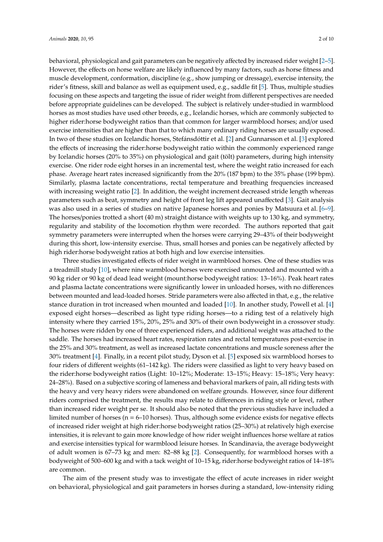behavioral, physiological and gait parameters can be negatively affected by increased rider weight [\[2–](#page-9-0)[5\]](#page-9-1). However, the effects on horse welfare are likely influenced by many factors, such as horse fitness and muscle development, conformation, discipline (e.g., show jumping or dressage), exercise intensity, the rider's fitness, skill and balance as well as equipment used, e.g., saddle fit [\[5\]](#page-9-1). Thus, multiple studies focusing on these aspects and targeting the issue of rider weight from different perspectives are needed before appropriate guidelines can be developed. The subject is relatively under-studied in warmblood horses as most studies have used other breeds, e.g., Icelandic horses, which are commonly subjected to higher rider:horse bodyweight ratios than that common for larger warmblood horses; and/or used exercise intensities that are higher than that to which many ordinary riding horses are usually exposed. In two of these studies on Icelandic horses, Stefánsdóttir et al. [\[2\]](#page-9-0) and Gunnarsson et al. [\[3\]](#page-9-2) explored the effects of increasing the rider:horse bodyweight ratio within the commonly experienced range by Icelandic horses (20% to 35%) on physiological and gait (tölt) parameters, during high intensity exercise. One rider rode eight horses in an incremental test, where the weight ratio increased for each phase. Average heart rates increased significantly from the 20% (187 bpm) to the 35% phase (199 bpm). Similarly, plasma lactate concentrations, rectal temperature and breathing frequencies increased with increasing weight ratio [\[2\]](#page-9-0). In addition, the weight increment decreased stride length whereas parameters such as beat, symmetry and height of front leg lift appeared unaffected [\[3\]](#page-9-2). Gait analysis was also used in a series of studies on native Japanese horses and ponies by Matsuura et al. [\[6–](#page-9-3)[9\]](#page-9-4). The horses/ponies trotted a short (40 m) straight distance with weights up to 130 kg, and symmetry, regularity and stability of the locomotion rhythm were recorded. The authors reported that gait symmetry parameters were interrupted when the horses were carrying 29–43% of their bodyweight during this short, low-intensity exercise. Thus, small horses and ponies can be negatively affected by high rider:horse bodyweight ratios at both high and low exercise intensities.

Three studies investigated effects of rider weight in warmblood horses. One of these studies was a treadmill study [\[10\]](#page-9-5), where nine warmblood horses were exercised unmounted and mounted with a 90 kg rider or 90 kg of dead lead weight (mount:horse bodyweight ratios: 13–16%). Peak heart rates and plasma lactate concentrations were significantly lower in unloaded horses, with no differences between mounted and lead-loaded horses. Stride parameters were also affected in that, e.g., the relative stance duration in trot increased when mounted and loaded [\[10\]](#page-9-5). In another study, Powell et al. [\[4\]](#page-9-6) exposed eight horses—described as light type riding horses—to a riding test of a relatively high intensity where they carried 15%, 20%, 25% and 30% of their own bodyweight in a crossover study. The horses were ridden by one of three experienced riders, and additional weight was attached to the saddle. The horses had increased heart rates, respiration rates and rectal temperatures post-exercise in the 25% and 30% treatment, as well as increased lactate concentrations and muscle soreness after the 30% treatment [\[4\]](#page-9-6). Finally, in a recent pilot study, Dyson et al. [\[5\]](#page-9-1) exposed six warmblood horses to four riders of different weights (61–142 kg). The riders were classified as light to very heavy based on the rider:horse bodyweight ratios (Light: 10–12%; Moderate: 13–15%; Heavy: 15–18%; Very heavy: 24–28%). Based on a subjective scoring of lameness and behavioral markers of pain, all riding tests with the heavy and very heavy riders were abandoned on welfare grounds. However, since four different riders comprised the treatment, the results may relate to differences in riding style or level, rather than increased rider weight per se. It should also be noted that the previous studies have included a limited number of horses ( $n = 6-10$  horses). Thus, although some evidence exists for negative effects of increased rider weight at high rider:horse bodyweight ratios (25–30%) at relatively high exercise intensities, it is relevant to gain more knowledge of how rider weight influences horse welfare at ratios and exercise intensities typical for warmblood leisure horses. In Scandinavia, the average bodyweight of adult women is 67–73 kg and men: 82–88 kg [\[2\]](#page-9-0). Consequently, for warmblood horses with a bodyweight of 500–600 kg and with a tack weight of 10–15 kg, rider:horse bodyweight ratios of 14–18% are common.

The aim of the present study was to investigate the effect of acute increases in rider weight on behavioral, physiological and gait parameters in horses during a standard, low-intensity riding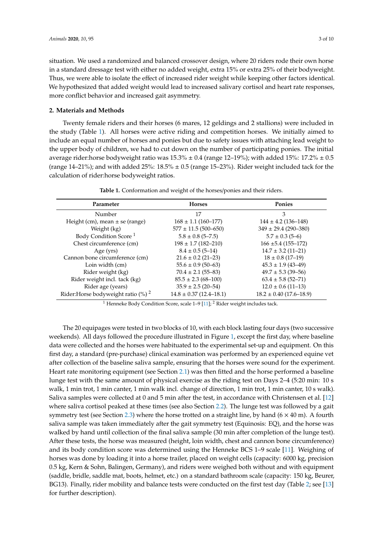situation. We used a randomized and balanced crossover design, where 20 riders rode their own horse in a standard dressage test with either no added weight, extra 15% or extra 25% of their bodyweight. Thus, we were able to isolate the effect of increased rider weight while keeping other factors identical. We hypothesized that added weight would lead to increased salivary cortisol and heart rate responses, more conflict behavior and increased gait asymmetry.

# **2. Materials and Methods**

Twenty female riders and their horses (6 mares, 12 geldings and 2 stallions) were included in the study (Table [1\)](#page-2-0). All horses were active riding and competition horses. We initially aimed to include an equal number of horses and ponies but due to safety issues with attaching lead weight to the upper body of children, we had to cut down on the number of participating ponies. The initial average rider:horse bodyweight ratio was  $15.3\% \pm 0.4$  (range 12-19%); with added 15%:  $17.2\% \pm 0.5$ (range  $14-21\%$ ); and with added  $25\%$ :  $18.5\% \pm 0.5$  (range 15-23%). Rider weight included tack for the calculation of rider:horse bodyweight ratios.

<span id="page-2-0"></span>

| Parameter                                  | <b>Horses</b>               | <b>Ponies</b>               |
|--------------------------------------------|-----------------------------|-----------------------------|
| Number                                     | 17                          | 3                           |
| Height (cm), mean $\pm$ se (range)         | $168 \pm 1.1$ (160–177)     | $144 \pm 4.2$ (136–148)     |
| Weight (kg)                                | $577 \pm 11.5$ (500-650)    | $349 \pm 29.4$ (290-380)    |
| Body Condition Score <sup>1</sup>          | $5.8 \pm 0.8$ (5-7.5)       | $5.7 \pm 0.3$ (5-6)         |
| Chest circumference (cm)                   | $198 \pm 1.7$ (182–210)     | $166 \pm 5.4$ (155-172)     |
| Age (yrs)                                  | $8.4 \pm 0.5$ (5-14)        | $14.7 \pm 3.2$ (11-21)      |
| Cannon bone circumference (cm)             | $21.6 \pm 0.2$ (21-23)      | $18 \pm 0.8$ (17-19)        |
| Loin width (cm)                            | $55.6 \pm 0.9$ (50-63)      | $45.3 \pm 1.9$ (43-49)      |
| Rider weight (kg)                          | $70.4 \pm 2.1 (55 - 83)$    | $49.7 \pm 5.3$ (39-56)      |
| Rider weight incl. tack (kg)               | $85.5 \pm 2.3$ (68-100)     | $63.4 \pm 5.8$ (52-71)      |
| Rider age (years)                          | $35.9 \pm 2.5$ (20-54)      | $12.0 \pm 0.6$ (11-13)      |
| Rider:Horse bodyweight ratio $\frac{8}{2}$ | $14.8 \pm 0.37$ (12.4–18.1) | $18.2 \pm 0.40$ (17.6–18.9) |

**Table 1.** Conformation and weight of the horses/ponies and their riders.

<sup>1</sup> Henneke Body Condition Score, scale  $1-9$  [\[11\]](#page-9-7); <sup>2</sup> Rider weight includes tack.

The 20 equipages were tested in two blocks of 10, with each block lasting four days (two successive weekends). All days followed the procedure illustrated in Figure [1,](#page-3-0) except the first day, where baseline data were collected and the horses were habituated to the experimental set-up and equipment. On this first day, a standard (pre-purchase) clinical examination was performed by an experienced equine vet after collection of the baseline saliva sample, ensuring that the horses were sound for the experiment. Heart rate monitoring equipment (see Section [2.1\)](#page-3-1) was then fitted and the horse performed a baseline lunge test with the same amount of physical exercise as the riding test on Days 2–4 (5:20 min: 10 s walk, 1 min trot, 1 min canter, 1 min walk incl. change of direction, 1 min trot, 1 min canter, 10 s walk). Saliva samples were collected at 0 and 5 min after the test, in accordance with Christensen et al. [\[12\]](#page-9-8) where saliva cortisol peaked at these times (see also Section [2.2\)](#page-4-0). The lunge test was followed by a gait symmetry test (see Section [2.3\)](#page-4-1) where the horse trotted on a straight line, by hand  $(6 \times 40 \text{ m})$ . A fourth saliva sample was taken immediately after the gait symmetry test (Equinosis: EQ), and the horse was walked by hand until collection of the final saliva sample (30 min after completion of the lunge test). After these tests, the horse was measured (height, loin width, chest and cannon bone circumference) and its body condition score was determined using the Henneke BCS 1–9 scale [\[11\]](#page-9-7). Weighing of horses was done by loading it into a horse trailer, placed on weight cells (capacity: 6000 kg, precision 0.5 kg, Kern & Sohn, Balingen, Germany), and riders were weighed both without and with equipment (saddle, bridle, saddle mat, boots, helmet, etc.) on a standard bathroom scale (capacity: 150 kg, Beurer, BG13). Finally, rider mobility and balance tests were conducted on the first test day (Table [2;](#page-3-2) see [\[13\]](#page-9-9) for further description).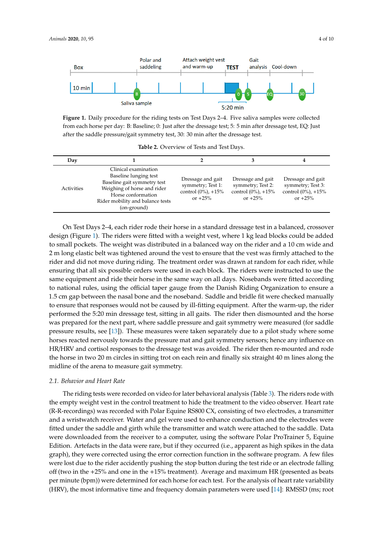<span id="page-3-0"></span>



<span id="page-3-2"></span>

| <b>Table 2.</b> Overview of Tests and Test Days. |  |
|--------------------------------------------------|--|
|                                                  |  |

| Day        |                                                                                                                                                                                      |                                                                               |                                                                               |                                                                               |
|------------|--------------------------------------------------------------------------------------------------------------------------------------------------------------------------------------|-------------------------------------------------------------------------------|-------------------------------------------------------------------------------|-------------------------------------------------------------------------------|
| Activities | Clinical examination<br>Baseline lunging test<br>Baseline gait symmetry test<br>Weighing of horse and rider<br>Horse conformation<br>Rider mobility and balance tests<br>(on-ground) | Dressage and gait<br>symmetry; Test 1:<br>control $(0\%)$ , +15%<br>or $+25%$ | Dressage and gait<br>symmetry; Test 2:<br>control $(0\%)$ , +15%<br>or $+25%$ | Dressage and gait<br>symmetry; Test 3:<br>control $(0\%)$ , +15%<br>or $+25%$ |

On Test Days 2–4, each rider rode their horse in a standard dressage test in a balanced, crossover design (Figure 1). The riders were fitted with a weight vest, where 1 kg lead blocks could be added to small pockets. The weight was distributed in a balanced way on the rider and a 10 cm wide and 2 m long elastic belt was tightened around the vest to ensure that the vest was firmly attached to the rider and did not move during riding. The treatment order was drawn at random for each rider, while ensuring that all six possible orders were used in each block. The riders were instructed to use the same equipment and ride their horse in the same way on all days. Nosebands were fitted according to national rules, using the official taper gauge from the Danish Riding Organization to ensure a 1.5 cm gap between the nasal bone and the noseband. Saddle and bridle fit were checked manually to ensure that responses would not be caused by ill-fitting equipment. After the warm-up, the rider was prepared for the next part, where saddle pressure and gait symmetry were measured (for saddle **Day 1 2 3 4**  pressure results, see [\[13\]](#page-9-9)). These measures were taken separately due to a pilot study where some midline of the arena to measure gait symmetry. horses reacted nervously towards the pressure mat and gait symmetry sensors; hence any influence on HR/HRV and cortisol responses to the dressage test was avoided. The rider then re-mounted and rode the horse in two 20 m circles in sitting trot on each rein and finally six straight 40 m lines along the y. performed the 5:20 min dressage test, sitting in all gaits. The rider then dismounted and the horse

# <span id="page-3-1"></span>2.1. Behavior and Heart Rate

The riding tests were recorded on video for later behavioral analysis (Table [3\)](#page-4-2). The riders rode with the empty weight vest in the control treatment to hide the treatment to the video observer. Heart rate (R-R-recordings) was recorded with Polar Equine RS800 CX, consisting of two electrodes, a transmitter and a wristwatch receiver. Water and gel were used to enhance conduction and the electrodes were fitted under the saddle and girth while the transmitter and watch were attached to the saddle. Data were downloaded from the receiver to a computer, using the software Polar ProTrainer 5, Equine Edition. Artefacts in the data were rare, but if they occurred (i.e., apparent as high spikes in the data graph), they were corrected using the error correction function in the software program. A few files were lost due to the rider accidently pushing the stop button during the test ride or an electrode falling off (two in the +25% and one in the +15% treatment). Average and maximum HR (presented as beats per minute (bpm)) were determined for each horse for each test. For the analysis of heart rate variability (HRV), the most informative time and frequency domain parameters were used [\[14\]](#page-9-10): RMSSD (ms; root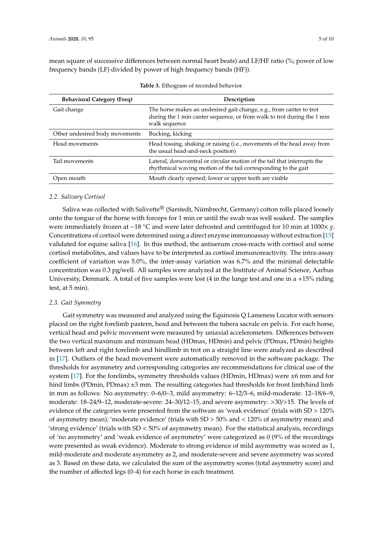mean square of successive differences between normal heart beats) and LF/HF ratio (%; power of low frequency bands (LF) divided by power of high frequency bands (HF)).

<span id="page-4-2"></span>

| <b>Behavioral Category (Freq)</b> | Description                                                                                                                                                     |
|-----------------------------------|-----------------------------------------------------------------------------------------------------------------------------------------------------------------|
| Gait change                       | The horse makes an undesired gait change, e.g., from canter to trot<br>during the 1 min canter sequence, or from walk to trot during the 1 min<br>walk sequence |
| Other undesired body movements    | Bucking, kicking                                                                                                                                                |
| Head movements                    | Head tossing, shaking or raising (i.e., movements of the head away from<br>the usual head-and-neck position)                                                    |
| Tail movements                    | Lateral, dorsoventral or circular motion of the tail that interrupts the<br>rhythmical waving motion of the tail corresponding to the gait                      |
| Open mouth                        | Mouth clearly opened; lower or upper teeth are visible                                                                                                          |

**Table 3.** Ethogram of recorded behavior.

# <span id="page-4-0"></span>*2.2. Salivary Cortisol*

Saliva was collected with Salivette® (Sarstedt, Nümbrecht, Germany) cotton rolls placed loosely onto the tongue of the horse with forceps for 1 min or until the swab was well soaked. The samples were immediately frozen at −18 ◦C and were later defrosted and centrifuged for 10 min at 1000× *g*. Concentrations of cortisol were determined using a direct enzyme immunoassay without extraction [\[15\]](#page-9-11) validated for equine saliva [\[16\]](#page-9-12). In this method, the antiserum cross-reacts with cortisol and some cortisol metabolites, and values have to be interpreted as cortisol immunoreactivity. The intra-assay coefficient of variation was 5.0%, the inter-assay variation was 6.7% and the minimal detectable concentration was 0.3 pg/well. All samples were analyzed at the Institute of Animal Science, Aarhus University, Denmark. A total of five samples were lost  $(4 \text{ in the lunge test and one in a } +15\% \text{ riding})$ test, at 5 min).

# <span id="page-4-1"></span>*2.3. Gait Symmetry*

Gait symmetry was measured and analyzed using the Equinosis Q Lameness Locator with sensors placed on the right forelimb pastern, head and between the tubera sacrale on pelvis. For each horse, vertical head and pelvic movement were measured by uniaxial accelerometers. Differences between the two vertical maximum and minimum head (HDmax, HDmin) and pelvic (PDmax, PDmin) heights between left and right forelimb and hindlimb in trot on a straight line were analyzed as described in [\[17\]](#page-9-13). Outliers of the head movement were automatically removed in the software package. The thresholds for asymmetry and corresponding categories are recommendations for clinical use of the system [\[17\]](#page-9-13). For the forelimbs, symmetry thresholds values (HDmin, HDmax) were ±6 mm and for hind limbs (PDmin, PDmax)  $\pm 3$  mm. The resulting categories had thresholds for front limb/hind limb in mm as follows: No asymmetry: 0–6/0–3, mild asymmetry: 6–12/3–6, mild-moderate: 12–18/6–9, moderate: 18–24/9–12, moderate-severe: 24–30/12–15, and severe asymmetry: >30/>15. The levels of evidence of the categories were presented from the software as 'weak evidence' (trials with SD > 120% of asymmetry mean); 'moderate evidence' (trials with SD > 50% and < 120% of asymmetry mean) and 'strong evidence' (trials with SD < 50% of asymmetry mean). For the statistical analysis, recordings of 'no asymmetry' and 'weak evidence of asymmetry' were categorized as 0 (9% of the recordings were presented as weak evidence). Moderate to strong evidence of mild asymmetry was scored as 1, mild-moderate and moderate asymmetry as 2, and moderate-severe and severe asymmetry was scored as 3. Based on these data, we calculated the sum of the asymmetry scores (total asymmetry score) and the number of affected legs (0–4) for each horse in each treatment.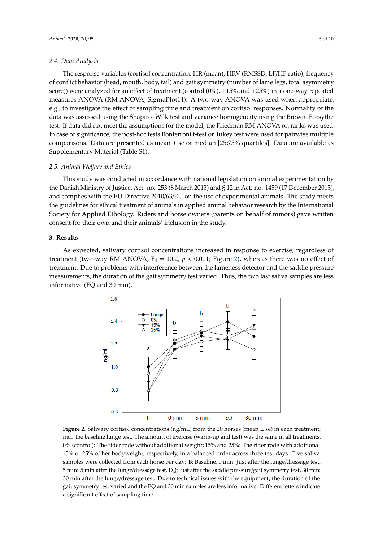#### *2.4. Data Analysis*

The response variables (cortisol concentration; HR (mean), HRV (RMSSD, LF/HF ratio), frequency of conflict behavior (head, mouth, body, tail) and gait symmetry (number of lame legs, total asymmetry score)) were analyzed for an effect of treatment (control (0%), +15% and +25%) in a one-way repeated measures ANOVA (RM ANOVA, SigmaPlot14). A two-way ANOVA was used when appropriate, e.g., to investigate the effect of sampling time and treatment on cortisol responses. Normality of the data was assessed using the Shapiro–Wilk test and variance homogeneity using the Brown–Forsythe test. If data did not meet the assumptions for the model, the Friedman RM ANOVA on ranks was used. In case of significance, the post-hoc tests Bonferroni t-test or Tukey test were used for pairwise multiple comparisons. Data are presented as mean ± se or median [25;75% quartiles]. Data are available as Supplementary Material (Table S1).

# *2.5. Animal Welfare and Ethics*

This study was conducted in accordance with national legislation on animal experimentation by the Danish Ministry of Justice, Act. no. 253 (8 March 2013) and § 12 in Act. no. 1459 (17 December 2013), and complies with the EU Directive 2010/63/EU on the use of experimental animals. The study meets the guidelines for ethical treatment of animals in applied animal behavior research by the International Society for Applied Ethology. Riders and horse owners (parents on behalf of minors) gave written consent for their own and their animals' inclusion in the study.

# **3. Results**

<span id="page-5-0"></span>As expected, salivary cortisol concentrations increased in response to exercise, regardless of treatment (two-way RM ANOVA,  $F_4 = 10.2$ ,  $p < 0.001$ ; Figure [2\)](#page-5-0), whereas there was no effect of treatment. Due to problems with interference between the lameness detector and the saddle pressure measurements, the duration of the gait symmetry test varied. Thus, the two last saliva samples are less informative (EQ and 30 min).



incl. the baseline lunge test. The amount of exercise (warm-up and test) was the same in all treatments. 0% (control): The rider rode without additional weight; 15% and 25%: The rider rode with additional 15% or 25% of her bodyweight, respectively, in a balanced order across three test days. Five saliva samples were collected from each horse per day: B: Baseline, 0 min: Just after the lunge/dressage test, 5 min: 5 min after the lunge/dressage test, EQ: Just after the saddle pressure/gait symmetry test, 30 min: 30 min after the lunge/dressage test. Due to technical issues with the equipment, the duration of the gait symmetry test varied and the EQ and 30 min samples are less informative. Different letters indicate  $\tau$  the gaint symmetry test varied and  $\tau$  minimal samples are less information. a significant effect of sampling time. Figure 2. Salivary cortisol concentrations (ng/mL) from the 20 horses (mean ± se) in each treatment,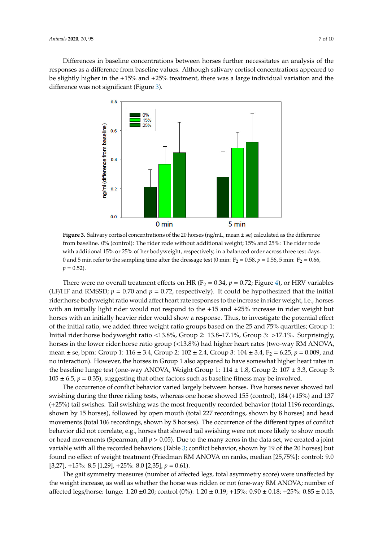<span id="page-6-0"></span>Differences in baseline concentrations between horses further necessitates an analysis of the Differences in baseline concentrations between horses further necessitates an analysis of the responses as a difference from baseline values. Although salivary cortisol concentrations appeared to responses as a difference from baseline values. Although salivary cortisol concentrations appeared to slightly higher in the +15% and +25% treatment, there was a large individual variation and the difference was not significant (Figure [3\)](#page-6-0). difference was not significant (Figure 3).



from baseline. 0% (control): The rider rode without additional weight; 15% and 25%: The rider rode with additional 15% or 25% of her bodyweight, respectively, in a balanced order across three test days. **Figure 3.** Salivary cortisol concentrations of the 20 horses (ng/mL, mean ± se) calculated as the difference 0 and 5 min refer to the sampling time after the dressage test (0 min:  $F_2 = 0.58$ ,  $p = 0.56$ , 5 min:  $F_2 = 0.66$ ,  $p = 0.52$ ).

There were no overall treatment effects on HR ( $F_2 = 0.34$ ,  $p = 0.72$ ; Figure [4\)](#page-7-0), or HRV variables (LF/HF and RMSSD;  $p = 0.70$  and  $p = 0.72$ , respectively). It could be hypothesized that the initial rider:horse bodyweight ratio would affect heart rate responses to the increase in rider weight, i.e., horses with an initially light rider would not respond to the +15 and +25% increase in rider weight but horses with an initially heavier rider would show a response. Thus, to investigate the potential effect of the initial ratio, we added three weight ratio groups based on the 25 and 75% quartiles; Group 1: Initial rider:horse bodyweight ratio <13.8%, Group 2: 13.8–17.1%, Group 3: >17.1%. Surprisingly, horses in the lower rider:horse ratio group (<13.8%) had higher heart rates (two-way RM ANOVA, mean  $\pm$  se, bpm: Group 1: 116  $\pm$  3.4, Group 2: 102  $\pm$  2.4, Group 3: 104  $\pm$  3.4, F<sub>2</sub> = 6.25, *p* = 0.009, and no interaction). However, the horses in Group 1 also appeared to have somewhat higher heart rates in the baseline lunge test (one-way ANOVA, Weight Group 1:  $114 \pm 1.8$ , Group 2:  $107 \pm 3.3$ , Group 3:  $105 \pm 6.5$ ,  $p = 0.35$ ), suggesting that other factors such as baseline fitness may be involved.

The occurrence of conflict behavior varied largely between horses. Five horses never showed tail swishing during the three riding tests, whereas one horse showed 155 (control), 184 (+15%) and 137 (+25%) tail swishes. Tail swishing was the most frequently recorded behavior (total 1196 recordings, shown by 15 horses), followed by open mouth (total 227 recordings, shown by 8 horses) and head movements (total 106 recordings, shown by 5 horses). The occurrence of the different types of conflict behavior did not correlate, e.g., horses that showed tail swishing were not more likely to show mouth or head movements (Spearman, all  $p > 0.05$ ). Due to the many zeros in the data set, we created a joint variable with all the recorded behaviors (Table [3;](#page-4-2) conflict behavior, shown by 19 of the 20 horses) but found no effect of weight treatment (Friedman RM ANOVA on ranks, median [25,75%]: control: 9.0 [3,27], +15%: 8.5 [1,29], +25%: 8.0 [2,35], *p* = 0.61).

The gait symmetry measures (number of affected legs, total asymmetry score) were unaffected by the weight increase, as well as whether the horse was ridden or not (one-way RM ANOVA; number of affected legs/horse: lunge:  $1.20 \pm 0.20$ ; control  $(0\%)$ :  $1.20 \pm 0.19$ ;  $+15\%$ :  $0.90 \pm 0.18$ ;  $+25\%$ :  $0.85 \pm 0.13$ ,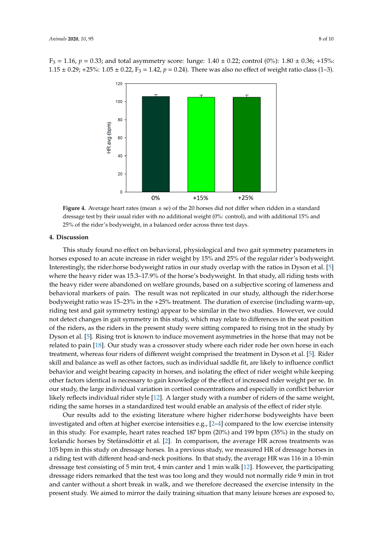<span id="page-7-0"></span> $F_3 = 1.16$ ,  $p = 0.33$ ; and total asymmetry score: lunge:  $1.40 \pm 0.22$ ; control (0%):  $1.80 \pm 0.36$ ; +15%: 1.15 ± 0.29; +25%: 1.05 ± 0.22, F<sub>3</sub> = 1.42,  $p = 0.24$ ). There was also no effect of weight ratio class (1–3). .16,  $p = 0.33$ ; and total asymmetry score: Tunge: 1.40  $\pm$  0.22; control (0%): 1.80  $\pm$  0.96; +1



dressage test by their usual rider with no additional weight (0%: control), and with additional 15% and  $\theta$  the rider's bedyweight in a belanced order across three test days and 25% of the rider's bodyweight, in a balanced order across three test days. 25% of the rider's bodyweight, in a balanced order across three test days. **Figure 4.** Average heart rates (mean  $\pm$  se) of the 20 horses did not differ when ridden in a standard

# **4. Discussion**

This study found no effect on behavioral, physiological and two gait symmetry parameters in horses exposed to an acute increase in rider weight by 15% and 25% of the regular rider's bodyweight. Interestingly, the rider:horse bodyweight ratios in our study overlap with the ratios in Dyson et al. [\[5\]](#page-9-1) where the heavy rider was 15.3–17.9% of the horse's bodyweight. In that study, all riding tests with the heavy rider were abandoned on welfare grounds, based on a subjective scoring of lameness and behavioral markers of pain. The result was not replicated in our study, although the rider:horse bodyweight ratio was 15–23% in the +25% treatment. The duration of exercise (including warm-up, found no effect of  $\mathcal{R}$  and  $\mathcal{R}$  on ranks, median  $\mathcal{R}$  on ranks, median  $\mathcal{R}$   $\mathcal{R}$ ,  $\mathcal{R}$ ,  $\mathcal{R}$ ,  $\mathcal{R}$   $\mathcal{R}$   $\mathcal{R}$   $\mathcal{R}$   $\mathcal{R}$   $\mathcal{R}$   $\mathcal{R}$   $\mathcal{R}$   $\mathcal{R}$   $\mathcal{R}$   $\mathcal{R}$ riding test and gait symmetry testing) appear to be similar in the two studies. However, we could not detect changes in gait symmetry in this study, which may relate to differences in the seat position of the riders, as the riders in the present study were sitting compared to rising trot in the study by Dyson et al. [\[5\]](#page-9-1). Rising trot is known to induce movement asymmetries in the horse that may not be related to pain [\[18\]](#page-9-14). Our study was a crossover study where each rider rode her own horse in each treatment, whereas four riders of different weight comprised the treatment in Dyson et al. [5]. Rider skill and balance as well as other factors, such as individual saddle fit, are likely to influence conflict behavior and weight bearing capacity in horses, and isolating the effect of rider weight while keeping other factors identical is necessary to gain knowledge of the effect of increased rider weight per se. In our study, the large individual variation in cortisol concentrations and especially in conflict behavior likely reflects individual rider style [\[12\]](#page-9-8). A larger study with a number of riders of the same weight, riding the same horses in a standardized test would enable an analysis of the effect of rider style.

Our results add to the existing literature where higher rider:horse bodyweights have been investigated and often at higher exercise intensities e.g., [\[2–](#page-9-0)[4\]](#page-9-6) compared to the low exercise intensity in this study. For example, heart rates reached 187 bpm (20%) and 199 bpm (35%) in the study on Icelandic horses by Stefánsdóttir et al. [\[2\]](#page-9-0). In comparison, the average HR across treatments was 105 bpm in this study on dressage horses. In a previous study, we measured HR of dressage horses in a riding test with different head-and-neck positions. In that study, the average HR was 116 in a 10-min dressage test consisting of 5 min trot, 4 min canter and 1 min walk [\[12\]](#page-9-8). However, the participating dressage riders remarked that the test was too long and they would not normally ride 9 min in trot and canter without a short break in walk, and we therefore decreased the exercise intensity in the present study. We aimed to mirror the daily training situation that many leisure horses are exposed to,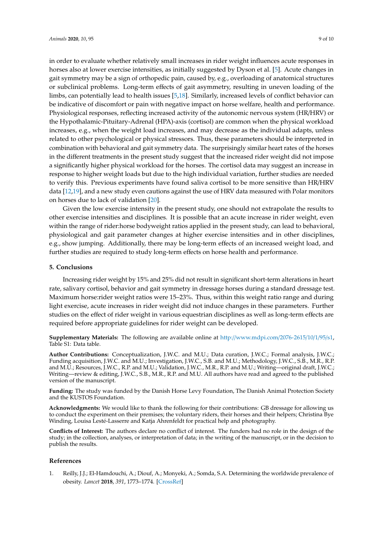in order to evaluate whether relatively small increases in rider weight influences acute responses in horses also at lower exercise intensities, as initially suggested by Dyson et al. [\[5\]](#page-9-1). Acute changes in gait symmetry may be a sign of orthopedic pain, caused by, e.g., overloading of anatomical structures or subclinical problems. Long-term effects of gait asymmetry, resulting in uneven loading of the limbs, can potentially lead to health issues [\[5,](#page-9-1)[18\]](#page-9-14). Similarly, increased levels of conflict behavior can be indicative of discomfort or pain with negative impact on horse welfare, health and performance. Physiological responses, reflecting increased activity of the autonomic nervous system (HR/HRV) or the Hypothalamic-Pituitary-Adrenal (HPA)-axis (cortisol) are common when the physical workload increases, e.g., when the weight load increases, and may decrease as the individual adapts, unless related to other psychological or physical stressors. Thus, these parameters should be interpreted in combination with behavioral and gait symmetry data. The surprisingly similar heart rates of the horses in the different treatments in the present study suggest that the increased rider weight did not impose a significantly higher physical workload for the horses. The cortisol data may suggest an increase in response to higher weight loads but due to the high individual variation, further studies are needed to verify this. Previous experiments have found saliva cortisol to be more sensitive than HR/HRV data [\[12](#page-9-8)[,19\]](#page-9-15), and a new study even cautions against the use of HRV data measured with Polar monitors on horses due to lack of validation [\[20\]](#page-9-16).

Given the low exercise intensity in the present study, one should not extrapolate the results to other exercise intensities and disciplines. It is possible that an acute increase in rider weight, even within the range of rider:horse bodyweight ratios applied in the present study, can lead to behavioral, physiological and gait parameter changes at higher exercise intensities and in other disciplines, e.g., show jumping. Additionally, there may be long-term effects of an increased weight load, and further studies are required to study long-term effects on horse health and performance.

# **5. Conclusions**

Increasing rider weight by 15% and 25% did not result in significant short-term alterations in heart rate, salivary cortisol, behavior and gait symmetry in dressage horses during a standard dressage test. Maximum horse:rider weight ratios were 15–23%. Thus, within this weight ratio range and during light exercise, acute increases in rider weight did not induce changes in these parameters. Further studies on the effect of rider weight in various equestrian disciplines as well as long-term effects are required before appropriate guidelines for rider weight can be developed.

**Supplementary Materials:** The following are available online at http://[www.mdpi.com](http://www.mdpi.com/2076-2615/10/1/95/s1)/2076-2615/10/1/95/s1, Table S1: Data table.

**Author Contributions:** Conceptualization, J.W.C. and M.U.; Data curation, J.W.C.; Formal analysis, J.W.C.; Funding acquisition, J.W.C. and M.U.; Investigation, J.W.C., S.B. and M.U.; Methodology, J.W.C., S.B., M.R., R.P. and M.U.; Resources, J.W.C., R.P. and M.U.; Validation, J.W.C., M.R., R.P. and M.U.; Writing—original draft, J.W.C.; Writing—review & editing, J.W.C., S.B., M.R., R.P. and M.U. All authors have read and agreed to the published version of the manuscript.

**Funding:** The study was funded by the Danish Horse Levy Foundation, The Danish Animal Protection Society and the KUSTOS Foundation.

**Acknowledgments:** We would like to thank the following for their contributions: GB dressage for allowing us to conduct the experiment on their premises; the voluntary riders, their horses and their helpers; Christina Bye Winding, Louisa Lesté-Lasserre and Katja Ahrenfeldt for practical help and photography.

**Conflicts of Interest:** The authors declare no conflict of interest. The funders had no role in the design of the study; in the collection, analyses, or interpretation of data; in the writing of the manuscript, or in the decision to publish the results.

# **References**

<span id="page-8-0"></span>1. Reilly, J.J.; El-Hamdouchi, A.; Diouf, A.; Monyeki, A.; Somda, S.A. Determining the worldwide prevalence of obesity. *Lancet* **2018**, *391*, 1773–1774. [\[CrossRef\]](http://dx.doi.org/10.1016/S0140-6736(18)30794-3)